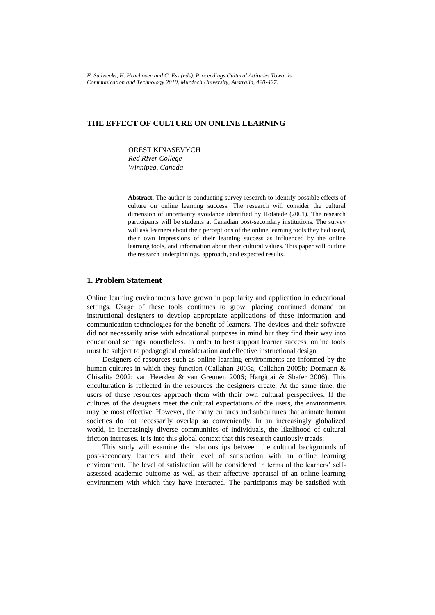*F. Sudweeks, H. Hrachovec and C. Ess (eds). Proceedings Cultural Attitudes Towards Communication and Technology 2010, Murdoch University, Australia, 420-427.*

# **THE EFFECT OF CULTURE ON ONLINE LEARNING**

OREST KINASEVYCH

*Red River College Winnipeg, Canada*

**Abstract.** The author is conducting survey research to identify possible effects of culture on online learning success. The research will consider the cultural dimension of uncertainty avoidance identified by Hofstede (2001). The research participants will be students at Canadian post-secondary institutions. The survey will ask learners about their perceptions of the online learning tools they had used, their own impressions of their learning success as influenced by the online learning tools, and information about their cultural values. This paper will outline the research underpinnings, approach, and expected results.

## **1. Problem Statement**

Online learning environments have grown in popularity and application in educational settings. Usage of these tools continues to grow, placing continued demand on instructional designers to develop appropriate applications of these information and communication technologies for the benefit of learners. The devices and their software did not necessarily arise with educational purposes in mind but they find their way into educational settings, nonetheless. In order to best support learner success, online tools must be subject to pedagogical consideration and effective instructional design.

Designers of resources such as online learning environments are informed by the human cultures in which they function (Callahan 2005a; Callahan 2005b; Dormann & Chisalita 2002; van Heerden & van Greunen 2006; Hargittai & Shafer 2006). This enculturation is reflected in the resources the designers create. At the same time, the users of these resources approach them with their own cultural perspectives. If the cultures of the designers meet the cultural expectations of the users, the environments may be most effective. However, the many cultures and subcultures that animate human societies do not necessarily overlap so conveniently. In an increasingly globalized world, in increasingly diverse communities of individuals, the likelihood of cultural friction increases. It is into this global context that this research cautiously treads.

This study will examine the relationships between the cultural backgrounds of post-secondary learners and their level of satisfaction with an online learning environment. The level of satisfaction will be considered in terms of the learners' selfassessed academic outcome as well as their affective appraisal of an online learning environment with which they have interacted. The participants may be satisfied with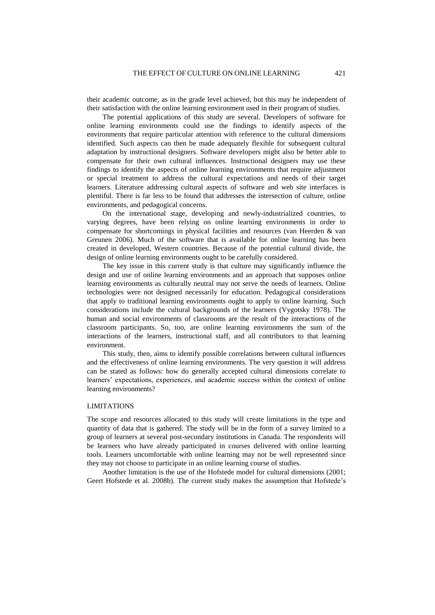their academic outcome, as in the grade level achieved, but this may be independent of their satisfaction with the online learning environment used in their program of studies.

The potential applications of this study are several. Developers of software for online learning environments could use the findings to identify aspects of the environments that require particular attention with reference to the cultural dimensions identified. Such aspects can then be made adequately flexible for subsequent cultural adaptation by instructional designers. Software developers might also be better able to compensate for their own cultural influences. Instructional designers may use these findings to identify the aspects of online learning environments that require adjustment or special treatment to address the cultural expectations and needs of their target learners. Literature addressing cultural aspects of software and web site interfaces is plentiful. There is far less to be found that addresses the intersection of culture, online environments, and pedagogical concerns.

On the international stage, developing and newly-industrialized countries, to varying degrees, have been relying on online learning environments in order to compensate for shortcomings in physical facilities and resources (van Heerden & van Greunen 2006). Much of the software that is available for online learning has been created in developed, Western countries. Because of the potential cultural divide, the design of online learning environments ought to be carefully considered.

The key issue in this current study is that culture may significantly influence the design and use of online learning environments and an approach that supposes online learning environments as culturally neutral may not serve the needs of learners. Online technologies were not designed necessarily for education. Pedagogical considerations that apply to traditional learning environments ought to apply to online learning. Such considerations include the cultural backgrounds of the learners (Vygotsky 1978). The human and social environments of classrooms are the result of the interactions of the classroom participants. So, too, are online learning environments the sum of the interactions of the learners, instructional staff, and all contributors to that learning environment.

This study, then, aims to identify possible correlations between cultural influences and the effectiveness of online learning environments. The very question it will address can be stated as follows: how do generally accepted cultural dimensions correlate to learners' expectations, experiences, and academic success within the context of online learning environments?

## LIMITATIONS

The scope and resources allocated to this study will create limitations in the type and quantity of data that is gathered. The study will be in the form of a survey limited to a group of learners at several post-secondary institutions in Canada. The respondents will be learners who have already participated in courses delivered with online learning tools. Learners uncomfortable with online learning may not be well represented since they may not choose to participate in an online learning course of studies.

Another limitation is the use of the Hofstede model for cultural dimensions (2001; Geert Hofstede et al. 2008b). The current study makes the assumption that Hofstede"s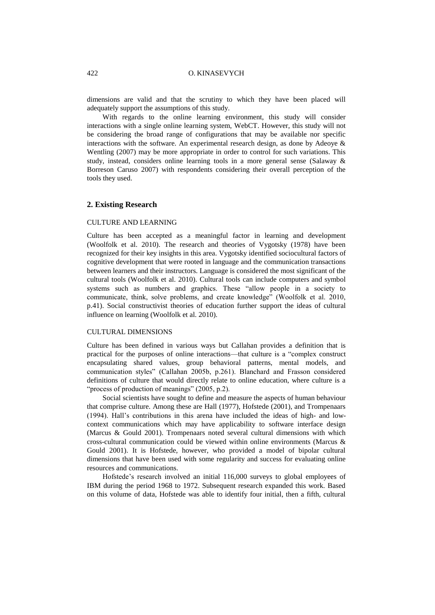#### 422 O. KINASEVYCH

dimensions are valid and that the scrutiny to which they have been placed will adequately support the assumptions of this study.

With regards to the online learning environment, this study will consider interactions with a single online learning system, WebCT. However, this study will not be considering the broad range of configurations that may be available nor specific interactions with the software. An experimental research design, as done by Adeoye & Wentling (2007) may be more appropriate in order to control for such variations. This study, instead, considers online learning tools in a more general sense (Salaway & Borreson Caruso 2007) with respondents considering their overall perception of the tools they used.

## **2. Existing Research**

### CULTURE AND LEARNING

Culture has been accepted as a meaningful factor in learning and development (Woolfolk et al. 2010). The research and theories of Vygotsky (1978) have been recognized for their key insights in this area. Vygotsky identified sociocultural factors of cognitive development that were rooted in language and the communication transactions between learners and their instructors. Language is considered the most significant of the cultural tools (Woolfolk et al. 2010). Cultural tools can include computers and symbol systems such as numbers and graphics. These "allow people in a society to communicate, think, solve problems, and create knowledge" (Woolfolk et al. 2010, p.41). Social constructivist theories of education further support the ideas of cultural influence on learning (Woolfolk et al. 2010).

## CULTURAL DIMENSIONS

Culture has been defined in various ways but Callahan provides a definition that is practical for the purposes of online interactions—that culture is a "complex construct encapsulating shared values, group behavioral patterns, mental models, and communication styles" (Callahan 2005b, p.261). Blanchard and Frasson considered definitions of culture that would directly relate to online education, where culture is a "process of production of meanings" (2005, p.2).

Social scientists have sought to define and measure the aspects of human behaviour that comprise culture. Among these are Hall (1977), Hofstede (2001), and Trompenaars (1994). Hall"s contributions in this arena have included the ideas of high- and lowcontext communications which may have applicability to software interface design (Marcus & Gould 2001). Trompenaars noted several cultural dimensions with which cross-cultural communication could be viewed within online environments (Marcus & Gould 2001). It is Hofstede, however, who provided a model of bipolar cultural dimensions that have been used with some regularity and success for evaluating online resources and communications.

Hofstede"s research involved an initial 116,000 surveys to global employees of IBM during the period 1968 to 1972. Subsequent research expanded this work. Based on this volume of data, Hofstede was able to identify four initial, then a fifth, cultural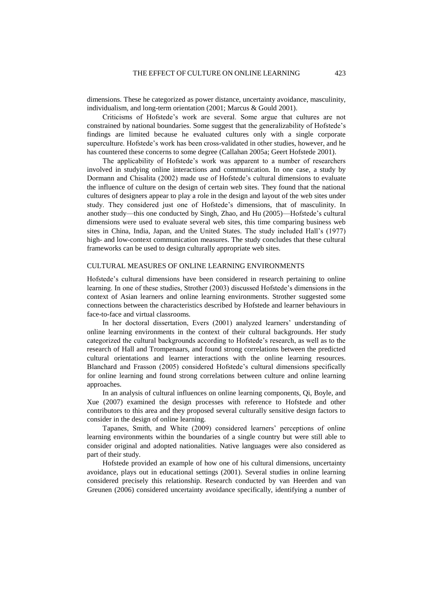dimensions. These he categorized as power distance, uncertainty avoidance, masculinity, individualism, and long-term orientation (2001; Marcus & Gould 2001).

Criticisms of Hofstede"s work are several. Some argue that cultures are not constrained by national boundaries. Some suggest that the generalizability of Hofstede"s findings are limited because he evaluated cultures only with a single corporate superculture. Hofstede"s work has been cross-validated in other studies, however, and he has countered these concerns to some degree (Callahan 2005a; Geert Hofstede 2001).

The applicability of Hofstede"s work was apparent to a number of researchers involved in studying online interactions and communication. In one case, a study by Dormann and Chisalita (2002) made use of Hofstede"s cultural dimensions to evaluate the influence of culture on the design of certain web sites. They found that the national cultures of designers appear to play a role in the design and layout of the web sites under study. They considered just one of Hofstede"s dimensions, that of masculinity. In another study—this one conducted by Singh, Zhao, and Hu (2005)—Hofstede"s cultural dimensions were used to evaluate several web sites, this time comparing business web sites in China, India, Japan, and the United States. The study included Hall"s (1977) high- and low-context communication measures. The study concludes that these cultural frameworks can be used to design culturally appropriate web sites.

#### CULTURAL MEASURES OF ONLINE LEARNING ENVIRONMENTS

Hofstede"s cultural dimensions have been considered in research pertaining to online learning. In one of these studies, Strother (2003) discussed Hofstede"s dimensions in the context of Asian learners and online learning environments. Strother suggested some connections between the characteristics described by Hofstede and learner behaviours in face-to-face and virtual classrooms.

In her doctoral dissertation, Evers (2001) analyzed learners' understanding of online learning environments in the context of their cultural backgrounds. Her study categorized the cultural backgrounds according to Hofstede"s research, as well as to the research of Hall and Trompenaars, and found strong correlations between the predicted cultural orientations and learner interactions with the online learning resources. Blanchard and Frasson (2005) considered Hofstede"s cultural dimensions specifically for online learning and found strong correlations between culture and online learning approaches.

In an analysis of cultural influences on online learning components, Qi, Boyle, and Xue (2007) examined the design processes with reference to Hofstede and other contributors to this area and they proposed several culturally sensitive design factors to consider in the design of online learning.

Tapanes, Smith, and White (2009) considered learners" perceptions of online learning environments within the boundaries of a single country but were still able to consider original and adopted nationalities. Native languages were also considered as part of their study.

Hofstede provided an example of how one of his cultural dimensions, uncertainty avoidance, plays out in educational settings (2001). Several studies in online learning considered precisely this relationship. Research conducted by van Heerden and van Greunen (2006) considered uncertainty avoidance specifically, identifying a number of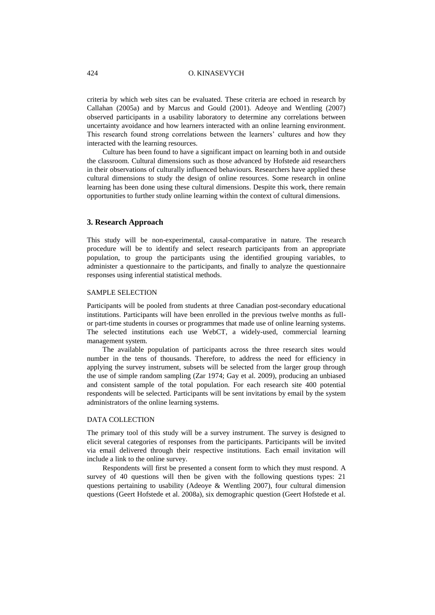### 424 O. KINASEVYCH

criteria by which web sites can be evaluated. These criteria are echoed in research by Callahan (2005a) and by Marcus and Gould (2001). Adeoye and Wentling (2007) observed participants in a usability laboratory to determine any correlations between uncertainty avoidance and how learners interacted with an online learning environment. This research found strong correlations between the learners" cultures and how they interacted with the learning resources.

Culture has been found to have a significant impact on learning both in and outside the classroom. Cultural dimensions such as those advanced by Hofstede aid researchers in their observations of culturally influenced behaviours. Researchers have applied these cultural dimensions to study the design of online resources. Some research in online learning has been done using these cultural dimensions. Despite this work, there remain opportunities to further study online learning within the context of cultural dimensions.

## **3. Research Approach**

This study will be non-experimental, causal-comparative in nature. The research procedure will be to identify and select research participants from an appropriate population, to group the participants using the identified grouping variables, to administer a questionnaire to the participants, and finally to analyze the questionnaire responses using inferential statistical methods.

## SAMPLE SELECTION

Participants will be pooled from students at three Canadian post-secondary educational institutions. Participants will have been enrolled in the previous twelve months as fullor part-time students in courses or programmes that made use of online learning systems. The selected institutions each use WebCT, a widely-used, commercial learning management system.

The available population of participants across the three research sites would number in the tens of thousands. Therefore, to address the need for efficiency in applying the survey instrument, subsets will be selected from the larger group through the use of simple random sampling (Zar 1974; Gay et al. 2009), producing an unbiased and consistent sample of the total population. For each research site 400 potential respondents will be selected. Participants will be sent invitations by email by the system administrators of the online learning systems.

## DATA COLLECTION

The primary tool of this study will be a survey instrument. The survey is designed to elicit several categories of responses from the participants. Participants will be invited via email delivered through their respective institutions. Each email invitation will include a link to the online survey.

Respondents will first be presented a consent form to which they must respond. A survey of 40 questions will then be given with the following questions types: 21 questions pertaining to usability (Adeoye & Wentling 2007), four cultural dimension questions (Geert Hofstede et al. 2008a), six demographic question (Geert Hofstede et al.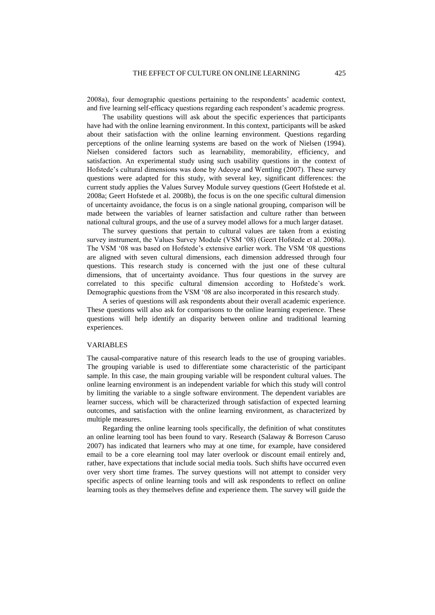2008a), four demographic questions pertaining to the respondents" academic context, and five learning self-efficacy questions regarding each respondent's academic progress.

The usability questions will ask about the specific experiences that participants have had with the online learning environment. In this context, participants will be asked about their satisfaction with the online learning environment. Questions regarding perceptions of the online learning systems are based on the work of Nielsen (1994). Nielsen considered factors such as learnability, memorability, efficiency, and satisfaction. An experimental study using such usability questions in the context of Hofstede"s cultural dimensions was done by Adeoye and Wentling (2007). These survey questions were adapted for this study, with several key, significant differences: the current study applies the Values Survey Module survey questions (Geert Hofstede et al. 2008a; Geert Hofstede et al. 2008b), the focus is on the one specific cultural dimension of uncertainty avoidance, the focus is on a single national grouping, comparison will be made between the variables of learner satisfaction and culture rather than between national cultural groups, and the use of a survey model allows for a much larger dataset.

The survey questions that pertain to cultural values are taken from a existing survey instrument, the Values Survey Module (VSM "08) (Geert Hofstede et al. 2008a). The VSM '08 was based on Hofstede's extensive earlier work. The VSM '08 questions are aligned with seven cultural dimensions, each dimension addressed through four questions. This research study is concerned with the just one of these cultural dimensions, that of uncertainty avoidance. Thus four questions in the survey are correlated to this specific cultural dimension according to Hofstede's work. Demographic questions from the VSM '08 are also incorporated in this research study.

A series of questions will ask respondents about their overall academic experience. These questions will also ask for comparisons to the online learning experience. These questions will help identify an disparity between online and traditional learning experiences.

#### VARIABLES

The causal-comparative nature of this research leads to the use of grouping variables. The grouping variable is used to differentiate some characteristic of the participant sample. In this case, the main grouping variable will be respondent cultural values. The online learning environment is an independent variable for which this study will control by limiting the variable to a single software environment. The dependent variables are learner success, which will be characterized through satisfaction of expected learning outcomes, and satisfaction with the online learning environment, as characterized by multiple measures.

Regarding the online learning tools specifically, the definition of what constitutes an online learning tool has been found to vary. Research (Salaway & Borreson Caruso 2007) has indicated that learners who may at one time, for example, have considered email to be a core elearning tool may later overlook or discount email entirely and, rather, have expectations that include social media tools. Such shifts have occurred even over very short time frames. The survey questions will not attempt to consider very specific aspects of online learning tools and will ask respondents to reflect on online learning tools as they themselves define and experience them. The survey will guide the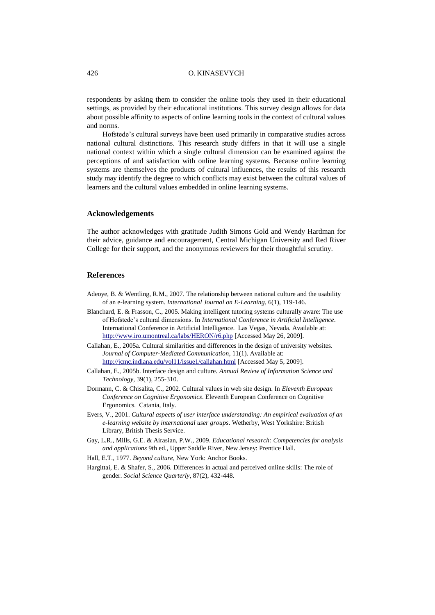#### 426 O. KINASEVYCH

respondents by asking them to consider the online tools they used in their educational settings, as provided by their educational institutions. This survey design allows for data about possible affinity to aspects of online learning tools in the context of cultural values and norms.

Hofstede"s cultural surveys have been used primarily in comparative studies across national cultural distinctions. This research study differs in that it will use a single national context within which a single cultural dimension can be examined against the perceptions of and satisfaction with online learning systems. Because online learning systems are themselves the products of cultural influences, the results of this research study may identify the degree to which conflicts may exist between the cultural values of learners and the cultural values embedded in online learning systems.

## **Acknowledgements**

The author acknowledges with gratitude Judith Simons Gold and Wendy Hardman for their advice, guidance and encouragement, Central Michigan University and Red River College for their support, and the anonymous reviewers for their thoughtful scrutiny.

# **References**

- Adeoye, B. & Wentling, R.M., 2007. The relationship between national culture and the usability of an e-learning system. *International Journal on E-Learning*, 6(1), 119-146.
- Blanchard, E. & Frasson, C., 2005. Making intelligent tutoring systems culturally aware: The use of Hofstede"s cultural dimensions. In *International Conference in Artificial Intelligence*. International Conference in Artificial Intelligence. Las Vegas, Nevada. Available at: <http://www.iro.umontreal.ca/labs/HERON/r6.php> [Accessed May 26, 2009].

Callahan, E., 2005a. Cultural similarities and differences in the design of university websites. *Journal of Computer-Mediated Communication*, 11(1). Available at: <http://jcmc.indiana.edu/vol11/issue1/callahan.html> [Accessed May 5, 2009].

- Callahan, E., 2005b. Interface design and culture. *Annual Review of Information Science and Technology*, 39(1), 255-310.
- Dormann, C. & Chisalita, C., 2002. Cultural values in web site design. In *Eleventh European Conference on Cognitive Ergonomics*. Eleventh European Conference on Cognitive Ergonomics. Catania, Italy.
- Evers, V., 2001. *Cultural aspects of user interface understanding: An empirical evaluation of an e-learning website by international user groups*. Wetherby, West Yorkshire: British Library, British Thesis Service.
- Gay, L.R., Mills, G.E. & Airasian, P.W., 2009. *Educational research: Competencies for analysis and applications* 9th ed., Upper Saddle River, New Jersey: Prentice Hall.
- Hall, E.T., 1977. *Beyond culture*, New York: Anchor Books.
- Hargittai, E. & Shafer, S., 2006. Differences in actual and perceived online skills: The role of gender. *Social Science Quarterly*, 87(2), 432-448.